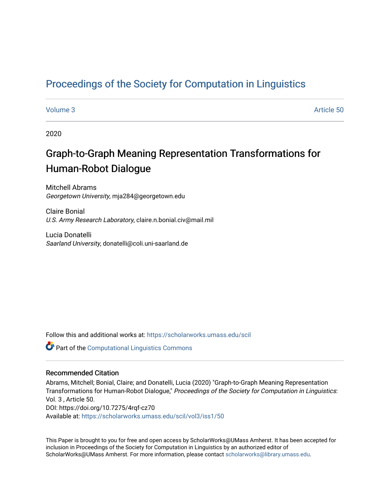## [Proceedings of the Society for Computation in Linguistics](https://scholarworks.umass.edu/scil)

#### [Volume 3](https://scholarworks.umass.edu/scil/vol3) Article 50

2020

# Graph-to-Graph Meaning Representation Transformations for Human-Robot Dialogue

Mitchell Abrams Georgetown University, mja284@georgetown.edu

Claire Bonial U.S. Army Research Laboratory, claire.n.bonial.civ@mail.mil

Lucia Donatelli Saarland University, donatelli@coli.uni-saarland.de

Follow this and additional works at: [https://scholarworks.umass.edu/scil](https://scholarworks.umass.edu/scil?utm_source=scholarworks.umass.edu%2Fscil%2Fvol3%2Fiss1%2F50&utm_medium=PDF&utm_campaign=PDFCoverPages)

**Part of the Computational Linguistics Commons** 

#### Recommended Citation

Abrams, Mitchell; Bonial, Claire; and Donatelli, Lucia (2020) "Graph-to-Graph Meaning Representation Transformations for Human-Robot Dialogue," Proceedings of the Society for Computation in Linguistics: Vol. 3 , Article 50. DOI: https://doi.org/10.7275/4rqf-cz70 Available at: [https://scholarworks.umass.edu/scil/vol3/iss1/50](https://scholarworks.umass.edu/scil/vol3/iss1/50?utm_source=scholarworks.umass.edu%2Fscil%2Fvol3%2Fiss1%2F50&utm_medium=PDF&utm_campaign=PDFCoverPages) 

This Paper is brought to you for free and open access by ScholarWorks@UMass Amherst. It has been accepted for inclusion in Proceedings of the Society for Computation in Linguistics by an authorized editor of ScholarWorks@UMass Amherst. For more information, please contact [scholarworks@library.umass.edu.](mailto:scholarworks@library.umass.edu)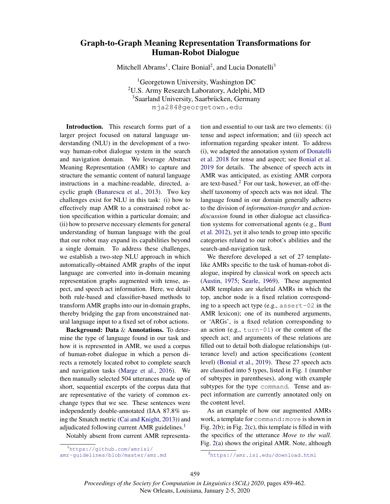### Graph-to-Graph Meaning Representation Transformations for Human-Robot Dialogue

Mitchell Abrams<sup>1</sup>, Claire Bonial<sup>2</sup>, and Lucia Donatelli<sup>3</sup>

1Georgetown University, Washington DC 2U.S. Army Research Laboratory, Adelphi, MD <sup>3</sup>Saarland University, Saarbrücken, Germany mja284@georgetown.edu

Introduction. This research forms part of a larger project focused on natural language understanding (NLU) in the development of a twoway human-robot dialogue system in the search and navigation domain. We leverage Abstract Meaning Representation (AMR) to capture and structure the semantic content of natural language instructions in a machine-readable, directed, acyclic graph (Banarescu et al., 2013). Two key challenges exist for NLU in this task: (i) how to effectively map AMR to a constrained robot action specification within a particular domain; and (ii) how to preserve necessary elements for general understanding of human language with the goal that our robot may expand its capabilities beyond a single domain. To address these challenges, we establish a two-step NLU approach in which automatically-obtained AMR graphs of the input language are converted into in-domain meaning representation graphs augmented with tense, aspect, and speech act information. Here, we detail both rule-based and classifier-based methods to transform AMR graphs into our in-domain graphs, thereby bridging the gap from unconstrained natural language input to a fixed set of robot actions.

Background: Data & Annotations. To determine the type of language found in our task and how it is represented in AMR, we used a corpus of human-robot dialogue in which a person directs a remotely located robot to complete search and navigation tasks (Marge et al., 2016). We then manually selected 504 utterances made up of short, sequential excerpts of the corpus data that are representative of the variety of common exchange types that we see. These sentences were independently double-annotated (IAA 87.8% using the Smatch metric (Cai and Knight, 2013)) and adjudicated following current AMR guidelines.<sup>1</sup>

Notably absent from current AMR representa-

tion and essential to our task are two elements: (i) tense and aspect information; and (ii) speech act information regarding speaker intent. To address (i), we adapted the annotation system of Donatelli et al. 2018 for tense and aspect; see Bonial et al. 2019 for details. The absence of speech acts in AMR was anticipated, as existing AMR corpora are text-based.2 For our task, however, an off-theshelf taxonomy of speech acts was not ideal. The language found in our domain generally adheres to the division of *information-transfer* and *actiondiscussion* found in other dialogue act classification systems for conversational agents (e.g., Bunt et al. 2012), yet it also tends to group into specific categories related to our robot's abilities and the search-and-navigation task.

We therefore developed a set of 27 templatelike AMRs specific to the task of human-robot dialogue, inspired by classical work on speech acts (Austin, 1975; Searle, 1969). These augmented AMR templates are skeletal AMRs in which the top, anchor node is a fixed relation corresponding to a speech act type (e.g., assert-02 in the AMR lexicon); one of its numbered arguments, or 'ARGs', is a fixed relation corresponding to an action (e.g., turn-01) or the content of the speech act; and arguments of these relations are filled out to detail both dialogue relationships (utterance level) and action specifications (content level) (Bonial et al., 2019). These 27 speech acts are classified into 5 types, listed in Fig. 1 (number of subtypes in parentheses), along with example subtypes for the type command. Tense and aspect information are currently annotated only on the content level.

As an example of how our augmented AMRs work, a template for command:move is shown in Fig. 2(b); in Fig. 2(c), this template is filled in with the specifics of the utterance *Move to the wall.* Fig. 2(a) shows the original AMR. Note, although

*Proceedings of the Society for Computation in Linguistics (SCiL) 2020*, pages 459-462. New Orleans, Louisiana, January 2-5, 2020

<sup>1</sup> https://github.com/amrisi/ amr-guidelines/blob/master/amr.md

<sup>2</sup> https://amr.isi.edu/download.html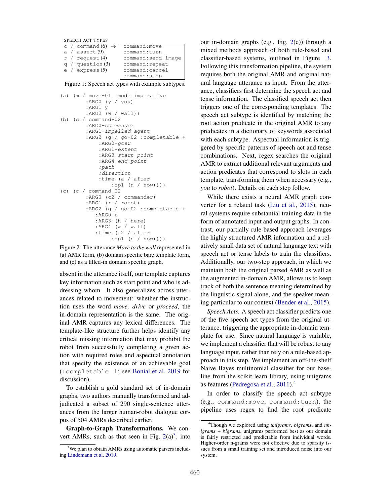SPEECH ACT TYPES c / command  $(6)$   $\rightarrow$  command:move<br>a / assert  $(9)$  command:turn a / assert  $(9)$ r / request (4) command:send-image  $q /$  question  $(3)$  command: repeat e / express (5) command:cancel command:stop

Figure 1: Speech act types with example subtypes.

```
(a) (m / move-01 :mode imperative
        :ARG0 (y / you)
        :ARG1 y
        :ARG2 (w / wall))
(b) (c / command-02
        :ARG0-commander
        :ARG1-impelled agent
        :ARG2 (g / go-02 :completable +
            :ARG0-goer
            :ARG1-extent
            :ARG3-start point
            :ARG4-end point
            :path
            :direction
            :time (a / after
                :op1 (n / now))))
(c) (c / command-02
        :ARG0 (c2 / commander)
        :ARG1 (r / robot)
        :ARG2 (g / go-02 :completable +
           :ARG0 r
           :ARG3 (h / here)
           :ARG4 (w / wall)
           :time (a2 / after
                :op1 (n / now))))
```
Figure 2: The utterance *Move to the wall* represented in (a) AMR form, (b) domain specific bare template form, and (c) as a filled-in domain specific graph.

absent in the utterance itself, our template captures key information such as start point and who is addressing whom. It also generalizes across utterances related to movement: whether the instruction uses the word *move, drive* or *proceed*, the in-domain representation is the same. The original AMR captures any lexical differences. The template-like structure further helps identify any critical missing information that may prohibit the robot from successfully completing a given action with required roles and aspectual annotation that specify the existence of an achievable goal (:completable ±; see Bonial et al. 2019 for discussion).

To establish a gold standard set of in-domain graphs, two authors manually transformed and adjudicated a subset of 290 single-sentence utterances from the larger human-robot dialogue corpus of 504 AMRs described earlier.

Graph-to-Graph Transformations. We convert AMRs, such as that seen in Fig.  $2(a)^3$ , into our in-domain graphs (e.g., Fig. 2(c)) through a mixed methods approach of both rule-based and classifier-based systems, outlined in Figure 3. Following this transformation pipeline, the system requires both the original AMR and original natural language utterance as input. From the utterance, classifiers first determine the speech act and tense information. The classified speech act then triggers one of the corresponding templates. The speech act subtype is identified by matching the root action predicate in the original AMR to any predicates in a dictionary of keywords associated with each subtype. Aspectual information is triggered by specific patterns of speech act and tense combinations. Next, regex searches the original AMR to extract additional relevant arguments and action predicates that correspond to slots in each template, transforming them when necessary (e.g., *you* to *robot*). Details on each step follow.

While there exists a neural AMR graph converter for a related task (Liu et al., 2015), neural systems require substantial training data in the form of annotated input and output graphs. In contrast, our partially rule-based approach leverages the highly structured AMR information and a relatively small data set of natural language text with speech act or tense labels to train the classifiers. Additionally, our two-step approach, in which we maintain both the original parsed AMR as well as the augmented in-domain AMR, allows us to keep track of both the sentence meaning determined by the linguistic signal alone, and the speaker meaning particular to our context (Bender et al., 2015).

*Speech Acts.* A speech act classifier predicts one of the five speech act types from the original utterance, triggering the appropriate in-domain template for use. Since natural language is variable, we implement a classifier that will be robust to any language input, rather than rely on a rule-based approach in this step. We implement an off-the-shelf Naive Bayes multinomial classifier for our baseline from the scikit-learn library, using unigrams as features (Pedregosa et al., 2011).4

In order to classify the speech act subtype (e.g., command:move, command:turn), the pipeline uses regex to find the root predicate

<sup>&</sup>lt;sup>3</sup>We plan to obtain AMRs using automatic parsers including Lindemann et al. 2019.

<sup>4</sup> Though we explored using *unigrams*, *bigrams*, and *unigrams + bigrams*, unigrams performed best as our domain is fairly restricted and predictable from individual words. Higher-order n-grams were not effective due to sparsity issues from a small training set and introduced noise into our system.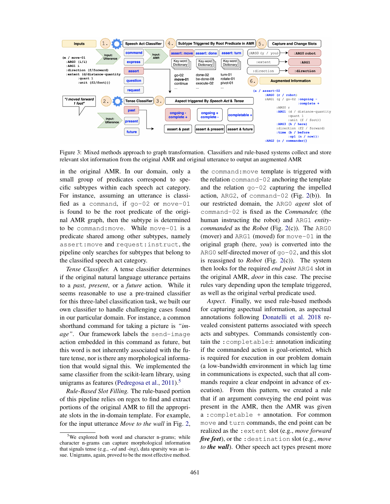

Figure 3: Mixed methods approach to graph transformation. Classifiers and rule-based systems collect and store relevant slot information from the original AMR and original utterance to output an augmented AMR

in the original AMR. In our domain, only a small group of predicates correspond to specific subtypes within each speech act category. For instance, assuming an utterance is classified as a command, if go-02 or move-01 is found to be the root predicate of the original AMR graph, then the subtype is determined to be command:move. While move-01 is a predicate shared among other subtypes, namely assert:move and request:instruct, the pipeline only searches for subtypes that belong to the classified speech act category.

*Tense Classifier.* A tense classifier determines if the original natural language utterance pertains to a *past*, *present*, or a *future* action. While it seems reasonable to use a pre-trained classifier for this three-label classification task, we built our own classifier to handle challenging cases found in our particular domain. For instance, a common shorthand command for taking a picture is *"image"*. Our framework labels the send-image action embedded in this command as future, but this word is not inherently associated with the future tense, nor is there any morphological information that would signal this. We implemented the same classifier from the scikit-learn library, using unigrams as features (Pedregosa et al.,  $2011$ ).<sup>5</sup>

*Rule-Based Slot Filling.* The rule-based portion of this pipeline relies on regex to find and extract portions of the original AMR to fill the appropriate slots in the in-domain template. For example, for the input utterance *Move to the wall* in Fig. 2, the command:move template is triggered with the relation command-02 anchoring the template and the relation  $q_0$ -02 capturing the impelled action, ARG2, of command-02 (Fig. 2(b)). In our restricted domain, the ARG0 *agent* slot of command-02 is fixed as the *Commander,* (the human instructing the robot) and ARG1 *entitycommanded* as the *Robot* (Fig. 2(c)). The ARG0 (mover) and ARG1 (moved) for move-01 in the original graph (here, *you*) is converted into the ARG0 self-directed mover of go-02, and this slot is reassigned to *Robot* (Fig. 2(c)). The system then looks for the required *end point* ARG4 slot in the original AMR, *door* in this case. The precise rules vary depending upon the template triggered, as well as the original verbal predicate used.

*Aspect*. Finally, we used rule-based methods for capturing aspectual information, as aspectual annotations following Donatelli et al. 2018 revealed consistent patterns associated with speech acts and subtypes. Commands consistently contain the :completable± annotation indicating if the commanded action is goal-oriented, which is required for execution in our problem domain (a low-bandwidth environment in which lag time in communications is expected, such that all commands require a clear endpoint in advance of execution). From this pattern, we created a rule that if an argument conveying the end point was present in the AMR, then the AMR was given a :completable + annotation. For common move and turn commands, the end point can be realized as the :extent slot (e.g., *move forward five feet*), or the :destination slot (e.g., *move to the wall*). Other speech act types present more

<sup>&</sup>lt;sup>5</sup>We explored both word and character n-grams; while character n-grams can capture morphological information that signals tense (e.g., *-ed* and *-ing*), data sparsity was an issue. Unigrams, again, proved to be the most effective method.